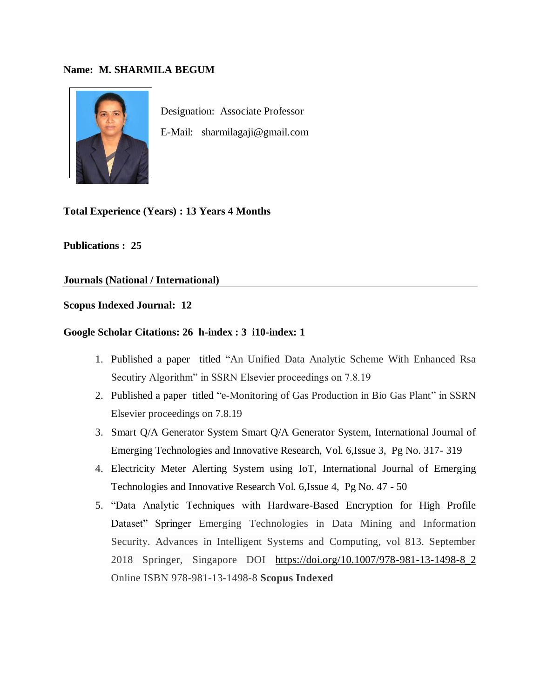## **Name: M. SHARMILA BEGUM**



Designation: Associate Professor E-Mail: sharmilagaji@gmail.com

**Total Experience (Years) : 13 Years 4 Months**

**Publications : 25**

**Journals (National / International)**

# **Scopus Indexed Journal: 12**

#### **Google Scholar Citations: 26 h-index : 3 i10-index: 1**

- 1. Published a paper titled "An Unified Data Analytic Scheme With Enhanced Rsa Secutiry Algorithm" in SSRN Elsevier proceedings on 7.8.19
- 2. Published a paper titled "e-Monitoring of Gas Production in Bio Gas Plant" in SSRN Elsevier proceedings on 7.8.19
- 3. Smart Q/A Generator System Smart Q/A Generator System, International Journal of Emerging Technologies and Innovative Research, Vol. 6,Issue 3, Pg No. 317- 319
- 4. Electricity Meter Alerting System using IoT, International Journal of Emerging Technologies and Innovative Research Vol. 6,Issue 4, Pg No. 47 - 50
- 5. "Data Analytic Techniques with Hardware-Based Encryption for High Profile Dataset" Springer Emerging Technologies in Data Mining and Information Security. Advances in Intelligent Systems and Computing, vol 813. September 2018 Springer, Singapore DOI [https://doi.org/10.1007/978-981-13-1498-8\\_2](https://doi.org/10.1007/978-981-13-1498-8_2) Online ISBN 978-981-13-1498-8 **Scopus Indexed**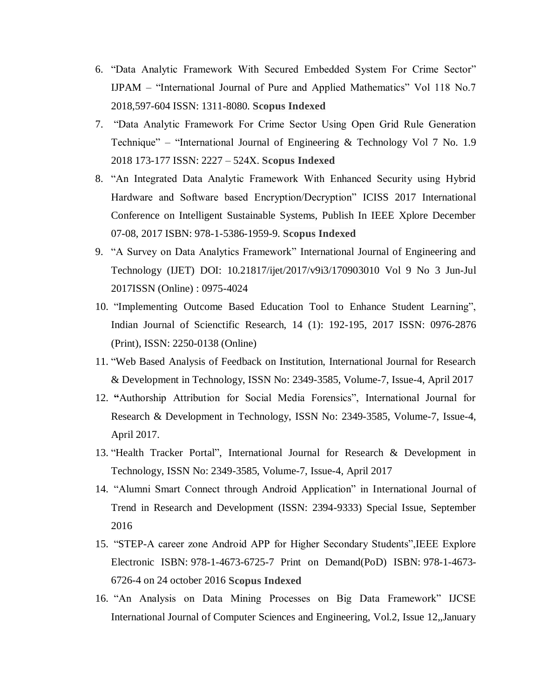- 6. "Data Analytic Framework With Secured Embedded System For Crime Sector" IJPAM – "International Journal of Pure and Applied Mathematics" Vol 118 No.7 2018,597-604 ISSN: 1311-8080. **Scopus Indexed**
- 7. "Data Analytic Framework For Crime Sector Using Open Grid Rule Generation Technique" – "International Journal of Engineering & Technology Vol 7 No. 1.9 2018 173-177 ISSN: 2227 – 524X. **Scopus Indexed**
- 8. "An Integrated Data Analytic Framework With Enhanced Security using Hybrid Hardware and Software based Encryption/Decryption" ICISS 2017 International Conference on Intelligent Sustainable Systems, Publish In IEEE Xplore December 07-08, 2017 ISBN: 978-1-5386-1959-9. **Scopus Indexed**
- 9. "A Survey on Data Analytics Framework" International Journal of Engineering and Technology (IJET) DOI: 10.21817/ijet/2017/v9i3/170903010 Vol 9 No 3 Jun-Jul 2017ISSN (Online) : 0975-4024
- 10. "Implementing Outcome Based Education Tool to Enhance Student Learning", Indian Journal of Scienctific Research, 14 (1): 192-195, 2017 ISSN: 0976-2876 (Print), ISSN: 2250-0138 (Online)
- 11. "Web Based Analysis of Feedback on Institution, International Journal for Research & Development in Technology, ISSN No: 2349-3585, Volume-7, Issue-4, April 2017
- 12. **"**Authorship Attribution for Social Media Forensics", International Journal for Research & Development in Technology, ISSN No: 2349-3585, Volume-7, Issue-4, April 2017.
- 13. "Health Tracker Portal", International Journal for Research & Development in Technology, ISSN No: 2349-3585, Volume-7, Issue-4, April 2017
- 14. "Alumni Smart Connect through Android Application" in International Journal of Trend in Research and Development (ISSN: 2394-9333) Special Issue, September 2016
- 15. "STEP-A career zone Android APP for Higher Secondary Students",IEEE Explore Electronic ISBN: 978-1-4673-6725-7 Print on Demand(PoD) ISBN: 978-1-4673- 6726-4 on 24 october 2016 **Scopus Indexed**
- 16. "An Analysis on Data Mining Processes on Big Data Framework" IJCSE International Journal of Computer Sciences and Engineering, Vol.2, Issue 12,,January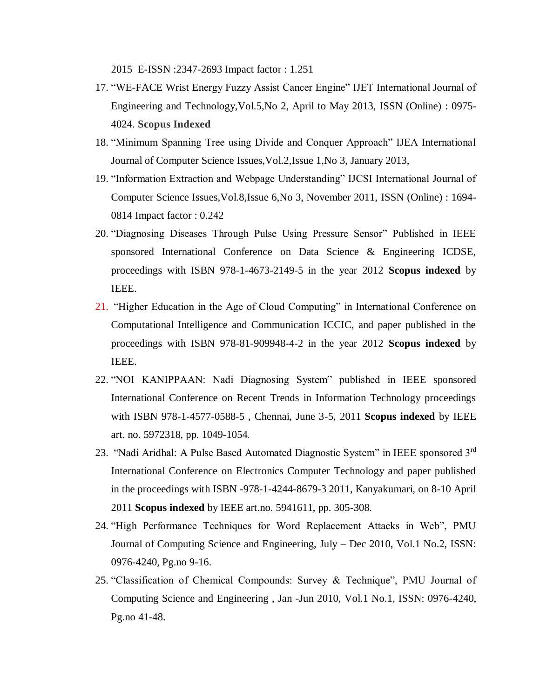2015 E-ISSN :2347-2693 Impact factor : 1.251

- 17. "WE-FACE Wrist Energy Fuzzy Assist Cancer Engine" IJET International Journal of Engineering and Technology,Vol.5,No 2, April to May 2013, ISSN (Online) : 0975- 4024. **Scopus Indexed**
- 18. "Minimum Spanning Tree using Divide and Conquer Approach" IJEA International Journal of Computer Science Issues,Vol.2,Issue 1,No 3, January 2013,
- 19. "Information Extraction and Webpage Understanding" IJCSI International Journal of Computer Science Issues,Vol.8,Issue 6,No 3, November 2011, ISSN (Online) : 1694- 0814 Impact factor : 0.242
- 20. "Diagnosing Diseases Through Pulse Using Pressure Sensor" Published in IEEE sponsored International Conference on Data Science & Engineering ICDSE, proceedings with ISBN 978-1-4673-2149-5 in the year 2012 **Scopus indexed** by IEEE.
- 21. "Higher Education in the Age of Cloud Computing" in International Conference on Computational Intelligence and Communication ICCIC, and paper published in the proceedings with ISBN 978-81-909948-4-2 in the year 2012 **Scopus indexed** by IEEE.
- 22. "NOI KANIPPAAN: Nadi Diagnosing System" published in IEEE sponsored International Conference on Recent Trends in Information Technology proceedings with ISBN 978-1-4577-0588-5 , Chennai, June 3-5, 2011 **Scopus indexed** by IEEE art. no. 5972318, pp. 1049-1054.
- 23. "Nadi Aridhal: A Pulse Based Automated Diagnostic System" in IEEE sponsored 3<sup>rd</sup> International Conference on Electronics Computer Technology and paper published in the proceedings with ISBN -978-1-4244-8679-3 2011, Kanyakumari, on 8-10 April 2011 **Scopus indexed** by IEEE art.no. 5941611, pp. 305-308.
- 24. "High Performance Techniques for Word Replacement Attacks in Web", PMU Journal of Computing Science and Engineering, July – Dec 2010, Vol.1 No.2, ISSN: 0976-4240, Pg.no 9-16.
- 25. "Classification of Chemical Compounds: Survey & Technique", PMU Journal of Computing Science and Engineering , Jan -Jun 2010, Vol.1 No.1, ISSN: 0976-4240, Pg.no 41-48.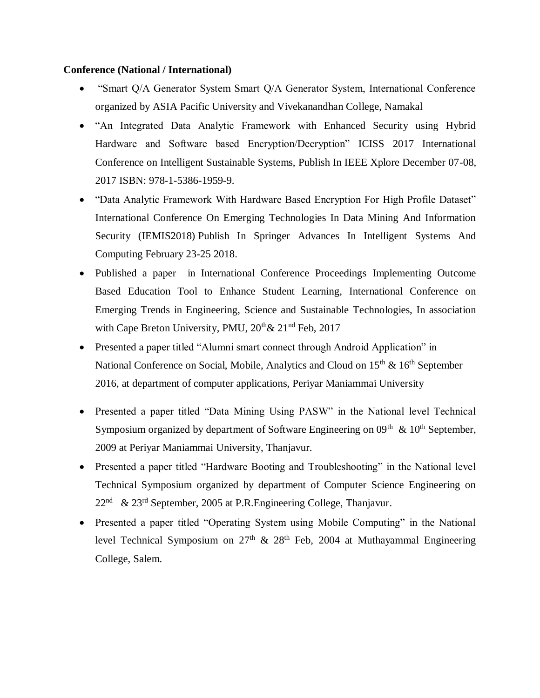# **Conference (National / International)**

- "Smart Q/A Generator System Smart Q/A Generator System, International Conference organized by ASIA Pacific University and Vivekanandhan College, Namakal
- "An Integrated Data Analytic Framework with Enhanced Security using Hybrid Hardware and Software based Encryption/Decryption" ICISS 2017 International Conference on Intelligent Sustainable Systems, Publish In IEEE Xplore December 07-08, 2017 ISBN: 978-1-5386-1959-9.
- "Data Analytic Framework With Hardware Based Encryption For High Profile Dataset" International Conference On Emerging Technologies In Data Mining And Information Security (IEMIS2018) Publish In Springer Advances In Intelligent Systems And Computing February 23-25 2018.
- Published a paper in International Conference Proceedings Implementing Outcome Based Education Tool to Enhance Student Learning, International Conference on Emerging Trends in Engineering, Science and Sustainable Technologies, In association with Cape Breton University, PMU,  $20^{th}$ &  $21^{nd}$  Feb,  $2017$
- Presented a paper titled "Alumni smart connect through Android Application" in National Conference on Social, Mobile, Analytics and Cloud on 15<sup>th</sup> & 16<sup>th</sup> September 2016, at department of computer applications, Periyar Maniammai University
- Presented a paper titled "Data Mining Using PASW" in the National level Technical Symposium organized by department of Software Engineering on  $09<sup>th</sup>$  &  $10<sup>th</sup>$  September, 2009 at Periyar Maniammai University, Thanjavur.
- Presented a paper titled "Hardware Booting and Troubleshooting" in the National level Technical Symposium organized by department of Computer Science Engineering on 22<sup>nd</sup> & 23<sup>rd</sup> September, 2005 at P.R.Engineering College, Thanjavur.
- Presented a paper titled "Operating System using Mobile Computing" in the National level Technical Symposium on  $27<sup>th</sup>$  &  $28<sup>th</sup>$  Feb, 2004 at Muthayammal Engineering College, Salem.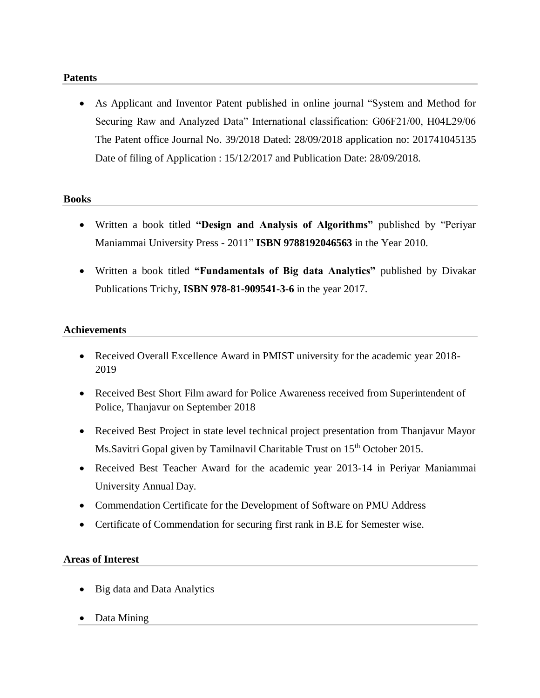## **Patents**

 As Applicant and Inventor Patent published in online journal "System and Method for Securing Raw and Analyzed Data" International classification: G06F21/00, H04L29/06 The Patent office Journal No. 39/2018 Dated: 28/09/2018 application no: 201741045135 Date of filing of Application : 15/12/2017 and Publication Date: 28/09/2018.

# **Books**

- Written a book titled **"Design and Analysis of Algorithms"** published by "Periyar Maniammai University Press - 2011" **ISBN 9788192046563** in the Year 2010.
- Written a book titled **"Fundamentals of Big data Analytics"** published by Divakar Publications Trichy, **ISBN 978-81-909541-3-6** in the year 2017.

# **Achievements**

- Received Overall Excellence Award in PMIST university for the academic year 2018- 2019
- Received Best Short Film award for Police Awareness received from Superintendent of Police, Thanjavur on September 2018
- Received Best Project in state level technical project presentation from Thanjavur Mayor Ms.Savitri Gopal given by Tamilnavil Charitable Trust on 15<sup>th</sup> October 2015.
- Received Best Teacher Award for the academic year 2013-14 in Periyar Maniammai University Annual Day.
- Commendation Certificate for the Development of Software on PMU Address
- Certificate of Commendation for securing first rank in B.E for Semester wise.

#### **Areas of Interest**

- Big data and Data Analytics
- Data Mining